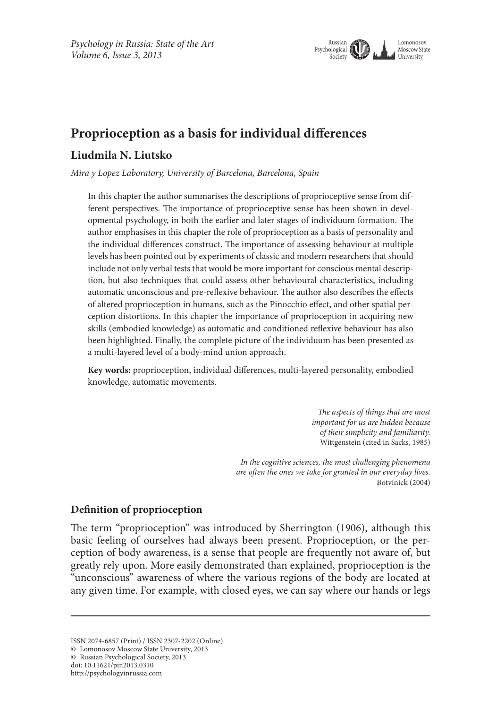

# **Proprioception as a basis for individual differences**

# **Liudmila N. Liutsko**

*Mira y Lopez Laboratory, University of Barcelona, Barcelona, Spain*

In this chapter the author summarises the descriptions of proprioceptive sense from different perspectives. The importance of proprioceptive sense has been shown in developmental psychology, in both the earlier and later stages of individuum formation. The author emphasises in this chapter the role of proprioception as a basis of personality and the individual differences construct. The importance of assessing behaviour at multiple levels has been pointed out by experiments of classic and modern researchers that should include not only verbal tests that would be more important for conscious mental description, but also techniques that could assess other behavioural characteristics, including automatic unconscious and pre-reflexive behaviour. The author also describes the effects of altered proprioception in humans, such as the Pinocchio effect, and other spatial perception distortions. In this chapter the importance of proprioception in acquiring new skills (embodied knowledge) as automatic and conditioned reflexive behaviour has also been highlighted. Finally, the complete picture of the individuum has been presented as a multi-layered level of a body-mind union approach.

**Key words:** proprioception, individual differences, multi-layered personality, embodied knowledge, automatic movements.

> *The aspects of things that are most important for us are hidden because of their simplicity and familiarity.*  Wittgenstein (cited in Sacks, 1985)

*In the cognitive sciences, the most challenging phenomena are often the ones we take for granted in our everyday lives.* Botvinick (2004)

# **Definition of proprioception**

The term "proprioception" was introduced by Sherrington (1906), although this basic feeling of ourselves had always been present. Proprioception, or the perception of body awareness, is a sense that people are frequently not aware of, but greatly rely upon. More easily demonstrated than explained, proprioception is the "unconscious" awareness of where the various regions of the body are located at any given time. For example, with closed eyes, we can say where our hands or legs

ISSN 2074-6857 (Print) / ISSN 2307-2202 (Online)

<sup>©</sup> Lomonosov Moscow State University, 2013

<sup>©</sup> Russian Psychological Society, 2013

doi: 10.11621/pir.2013.0310

http://psychologyinrussia.com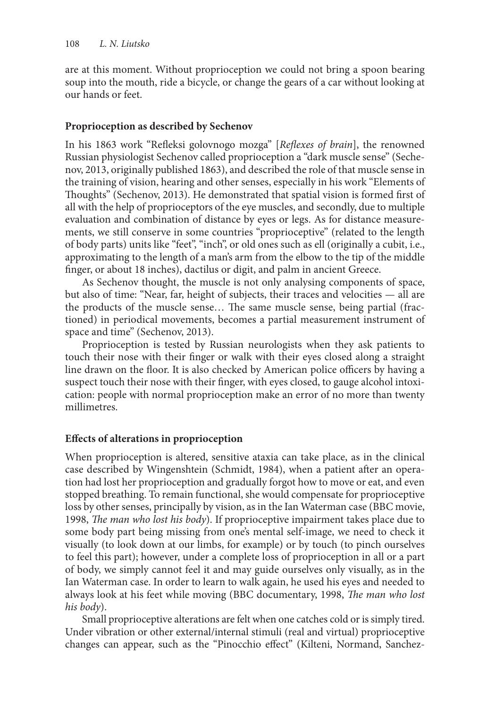are at this moment. Without proprioception we could not bring a spoon bearing soup into the mouth, ride a bicycle, or change the gears of a car without looking at our hands or feet.

### **Proprioception as described by Sechenov**

In his 1863 work "Refleksi golovnogo mozga" [*Reflexes of brain*], the renowned Russian physiologist Sechenov called proprioception a "dark muscle sense" (Sechenov, 2013, originally published 1863), and described the role of that muscle sense in the training of vision, hearing and other senses, especially in his work "Elements of Thoughts" (Sechenov, 2013). He demonstrated that spatial vision is formed first of all with the help of proprioceptors of the eye muscles, and secondly, due to multiple evaluation and combination of distance by eyes or legs. As for distance measurements, we still conserve in some countries "proprioceptive" (related to the length of body parts) units like "feet", "inch", or old ones such as ell (originally a cubit, i.e., approximating to the length of a man's arm from the elbow to the tip of the middle finger, or about 18 inches), dactilus or digit, and palm in ancient Greece.

As Sechenov thought, the muscle is not only analysing components of space, but also of time: "Near, far, height of subjects, their traces and velocities — all are the products of the muscle sense… The same muscle sense, being partial (fractioned) in periodical movements, becomes a partial measurement instrument of space and time" (Sechenov, 2013).

Proprioception is tested by Russian neurologists when they ask patients to touch their nose with their finger or walk with their eyes closed along a straight line drawn on the floor. It is also checked by American police officers by having a suspect touch their nose with their finger, with eyes closed, to gauge alcohol intoxication: people with normal proprioception make an error of no more than twenty millimetres.

#### **Effects of alterations in proprioception**

When proprioception is altered, sensitive ataxia can take place, as in the clinical case described by Wingenshtein (Schmidt, 1984), when a patient after an operation had lost her proprioception and gradually forgot how to move or eat, and even stopped breathing. To remain functional, she would compensate for proprioceptive loss by other senses, principally by vision, as in the Ian Waterman case (BBC movie, 1998, *The man who lost his body*). If proprioceptive impairment takes place due to some body part being missing from one's mental self-image, we need to check it visually (to look down at our limbs, for example) or by touch (to pinch ourselves to feel this part); however, under a complete loss of proprioception in all or a part of body, we simply cannot feel it and may guide ourselves only visually, as in the Ian Waterman case. In order to learn to walk again, he used his eyes and needed to always look at his feet while moving (BBC documentary, 1998, *The man who lost his body*).

Small proprioceptive alterations are felt when one catches cold or is simply tired. Under vibration or other external/internal stimuli (real and virtual) proprioceptive changes can appear, such as the "Pinocchio effect" (Kilteni, Normand, Sanchez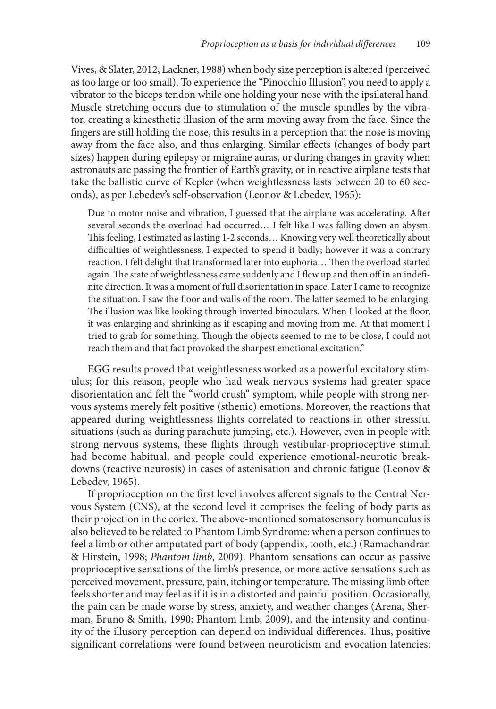Vives, & Slater, 2012; Lackner, 1988) when body size perception is altered (perceived as too large or too small). To experience the "Pinocchio Illusion", you need to apply a vibrator to the biceps tendon while one holding your nose with the ipsilateral hand. Muscle stretching occurs due to stimulation of the muscle spindles by the vibrator, creating a kinesthetic illusion of the arm moving away from the face. Since the fingers are still holding the nose, this results in a perception that the nose is moving away from the face also, and thus enlarging. Similar effects (changes of body part sizes) happen during epilepsy or migraine auras, or during changes in gravity when astronauts are passing the frontier of Earth's gravity, or in reactive airplane tests that take the ballistic curve of Kepler (when weightlessness lasts between 20 to 60 seconds), as per Lebedev's self-observation (Leonov & Lebedev, 1965):

Due to motor noise and vibration, I guessed that the airplane was accelerating. After several seconds the overload had occurred… I felt like I was falling down an abysm. This feeling, I estimated as lasting 1-2 seconds… Knowing very well theoretically about difficulties of weightlessness, I expected to spend it badly; however it was a contrary reaction. I felt delight that transformed later into euphoria… Then the overload started again. The state of weightlessness came suddenly and I flew up and then off in an indefinite direction. It was a moment of full disorientation in space. Later I came to recognize the situation. I saw the floor and walls of the room. The latter seemed to be enlarging. The illusion was like looking through inverted binoculars. When I looked at the floor, it was enlarging and shrinking as if escaping and moving from me. At that moment I tried to grab for something. Though the objects seemed to me to be close, I could not reach them and that fact provoked the sharpest emotional excitation."

EGG results proved that weightlessness worked as a powerful excitatory stimulus; for this reason, people who had weak nervous systems had greater space disorientation and felt the "world crush" symptom, while people with strong nervous systems merely felt positive (sthenic) emotions. Moreover, the reactions that appeared during weightlessness flights correlated to reactions in other stressful situations (such as during parachute jumping, etc.). However, even in people with strong nervous systems, these flights through vestibular-proprioceptive stimuli had become habitual, and people could experience emotional-neurotic breakdowns (reactive neurosis) in cases of astenisation and chronic fatigue (Leonov & Lebedev, 1965).

If proprioception on the first level involves afferent signals to the Central Nervous System (CNS), at the second level it comprises the feeling of body parts as their projection in the cortex. The above-mentioned somatosensory homunculus is also believed to be related to Phantom Limb Syndrome: when a person continues to feel a limb or other amputated part of body (appendix, tooth, etc.) (Ramachandran & Hirstein, 1998; *Phantom limb*, 2009). Phantom sensations can occur as passive proprioceptive sensations of the limb's presence, or more active sensations such as perceived movement, pressure, pain, itching or temperature. The missing limb often feels shorter and may feel as if it is in a distorted and painful position. Occasionally, the pain can be made worse by stress, anxiety, and weather changes (Arena, Sherman, Bruno & Smith, 1990; Phantom limb, 2009), and the intensity and continuity of the illusory perception can depend on individual differences. Thus, positive significant correlations were found between neuroticism and evocation latencies;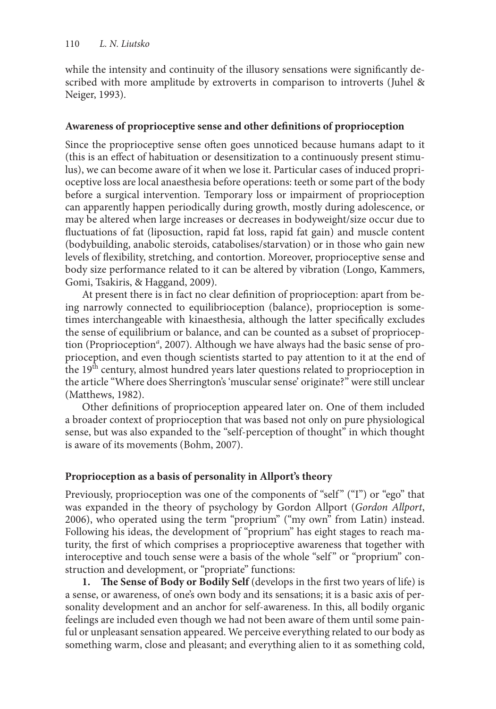while the intensity and continuity of the illusory sensations were significantly described with more amplitude by extroverts in comparison to introverts (Juhel & Neiger, 1993).

# **Awareness of proprioceptive sense and other definitions of proprioception**

Since the proprioceptive sense often goes unnoticed because humans adapt to it (this is an effect of habituation or desensitization to a continuously present stimulus), we can become aware of it when we lose it. Particular cases of induced proprioceptive loss are local anaesthesia before operations: teeth or some part of the body before a surgical intervention. Temporary loss or impairment of proprioception can apparently happen periodically during growth, mostly during adolescence, or may be altered when large increases or decreases in bodyweight/size occur due to fluctuations of fat (liposuction, rapid fat loss, rapid fat gain) and muscle content (bodybuilding, anabolic steroids, catabolises/starvation) or in those who gain new levels of flexibility, stretching, and contortion. Moreover, proprioceptive sense and body size performance related to it can be altered by vibration (Longo, Kammers, Gomi, Tsakiris, & Haggand, 2009).

At present there is in fact no clear definition of proprioception: apart from being narrowly connected to equilibrioception (balance), proprioception is sometimes interchangeable with kinaesthesia, although the latter specifically excludes the sense of equilibrium or balance, and can be counted as a subset of proprioception (Proprioception<sup>a</sup>, 2007). Although we have always had the basic sense of proprioception, and even though scientists started to pay attention to it at the end of the 19<sup>th</sup> century, almost hundred years later questions related to proprioception in the article "Where does Sherrington's 'muscular sense' originate?" were still unclear (Matthews, 1982).

Other definitions of proprioception appeared later on. One of them included a broader context of proprioception that was based not only on pure physiological sense, but was also expanded to the "self-perception of thought" in which thought is aware of its movements (Bohm, 2007).

# **Proprioception as a basis of personality in Allport's theory**

Previously, proprioception was one of the components of "self" ("I") or "ego" that was expanded in the theory of psychology by Gordon Allport (*Gordon Allport*, 2006), who operated using the term "proprium" ("my own" from Latin) instead. Following his ideas, the development of "proprium" has eight stages to reach maturity, the first of which comprises a proprioceptive awareness that together with interoceptive and touch sense were a basis of the whole "self" or "proprium" construction and development, or "propriate" functions:

**1. The Sense of Body or Bodily Self** (develops in the first two years of life) is a sense, or awareness, of one's own body and its sensations; it is a basic axis of personality development and an anchor for self-awareness. In this, all bodily organic feelings are included even though we had not been aware of them until some painful or unpleasant sensation appeared. We perceive everything related to our body as something warm, close and pleasant; and everything alien to it as something cold,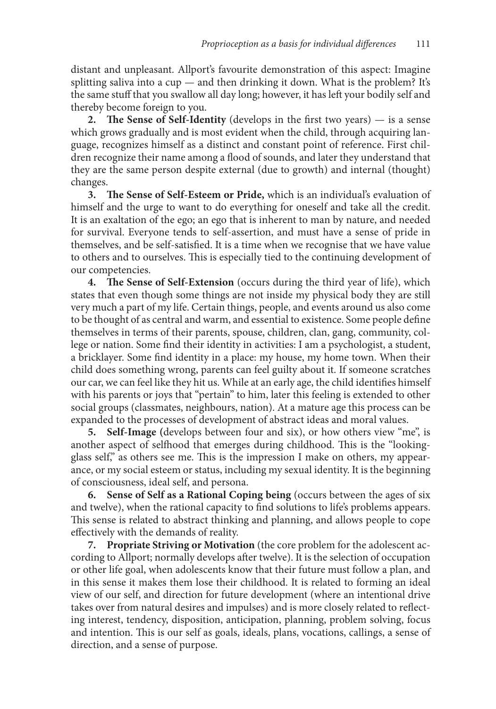distant and unpleasant. Allport's favourite demonstration of this aspect: Imagine splitting saliva into a cup — and then drinking it down. What is the problem? It's the same stuff that you swallow all day long; however, it has left your bodily self and thereby become foreign to you.

**2. The Sense of Self-Identity** (develops in the first two years) — is a sense which grows gradually and is most evident when the child, through acquiring language, recognizes himself as a distinct and constant point of reference. First children recognize their name among a flood of sounds, and later they understand that they are the same person despite external (due to growth) and internal (thought) changes.

**3. The Sense of Self-Esteem or Pride,** which is an individual's evaluation of himself and the urge to want to do everything for oneself and take all the credit. It is an exaltation of the ego; an ego that is inherent to man by nature, and needed for survival. Everyone tends to self-assertion, and must have a sense of pride in themselves, and be self-satisfied. It is a time when we recognise that we have value to others and to ourselves. This is especially tied to the continuing development of our competencies.

**4. The Sense of Self-Extension** (occurs during the third year of life), which states that even though some things are not inside my physical body they are still very much a part of my life. Certain things, people, and events around us also come to be thought of as central and warm, and essential to existence. Some people define themselves in terms of their parents, spouse, children, clan, gang, community, college or nation. Some find their identity in activities: I am a psychologist, a student, a bricklayer. Some find identity in a place: my house, my home town. When their child does something wrong, parents can feel guilty about it. If someone scratches our car, we can feel like they hit us. While at an early age, the child identifies himself with his parents or joys that "pertain" to him, later this feeling is extended to other social groups (classmates, neighbours, nation). At a mature age this process can be expanded to the processes of development of abstract ideas and moral values.

**5. Self-Image (**develops between four and six), or how others view "me", is another aspect of selfhood that emerges during childhood. This is the "lookingglass self," as others see me. This is the impression I make on others, my appearance, or my social esteem or status, including my sexual identity. It is the beginning of consciousness, ideal self, and persona.

**6. Sense of Self as a Rational Coping being** (occurs between the ages of six and twelve), when the rational capacity to find solutions to life's problems appears. This sense is related to abstract thinking and planning, and allows people to cope effectively with the demands of reality.

**7. Propriate Striving or Motivation** (the core problem for the adolescent according to Allport; normally develops after twelve). It is the selection of occupation or other life goal, when adolescents know that their future must follow a plan, and in this sense it makes them lose their childhood. It is related to forming an ideal view of our self, and direction for future development (where an intentional drive takes over from natural desires and impulses) and is more closely related to reflecting interest, tendency, disposition, anticipation, planning, problem solving, focus and intention. This is our self as goals, ideals, plans, vocations, callings, a sense of direction, and a sense of purpose.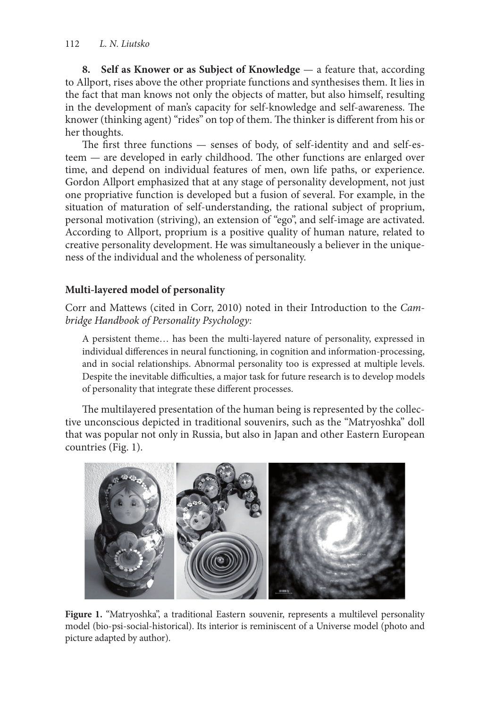**8. Self as Knower or as Subject of Knowledge** — a feature that, according to Allport, rises above the other propriate functions and synthesises them. It lies in the fact that man knows not only the objects of matter, but also himself, resulting in the development of man's capacity for self-knowledge and self-awareness. The knower (thinking agent) "rides" on top of them. The thinker is different from his or her thoughts.

The first three functions — senses of body, of self-identity and and self-esteem — are developed in early childhood. The other functions are enlarged over time, and depend on individual features of men, own life paths, or experience. Gordon Allport emphasized that at any stage of personality development, not just one propriative function is developed but a fusion of several. For example, in the situation of maturation of self-understanding, the rational subject of proprium, personal motivation (striving), an extension of "ego", and self-image are activated. According to Allport, proprium is a positive quality of human nature, related to creative personality development. He was simultaneously a believer in the uniqueness of the individual and the wholeness of personality.

# **Multi-layered model of personality**

Corr and Mattews (cited in Corr, 2010) noted in their Introduction to the *Cambridge Handbook of Personality Psychology:*

A persistent theme… has been the multi-layered nature of personality, expressed in individual differences in neural functioning, in cognition and information-processing, and in social relationships. Abnormal personality too is expressed at multiple levels. Despite the inevitable difficulties, a major task for future research is to develop models of personality that integrate these different processes.

The multilayered presentation of the human being is represented by the collective unconscious depicted in traditional souvenirs, such as the "Matryoshka" doll that was popular not only in Russia, but also in Japan and other Eastern European countries (Fig. 1).



Figure 1. "Matryoshka", a traditional Eastern souvenir, represents a multilevel personality model (bio-psi-social-historical). Its interior is reminiscent of a Universe model (photo and picture adapted by author).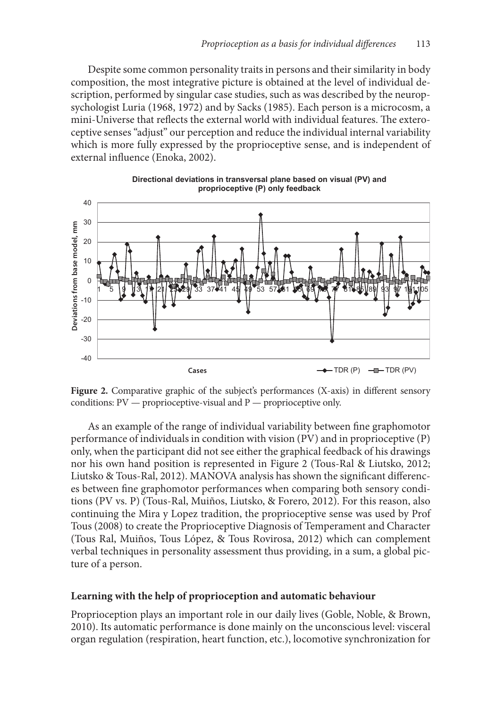Despite some common personality traits in persons and their similarity in body composition, the most integrative picture is obtained at the level of individual description, performed by singular case studies, such as was described by the neuropsychologist Luria (1968, 1972) and by Sacks (1985). Each person is a microcosm, a mini-Universe that reflects the external world with individual features. The exteroceptive senses "adjust" our perception and reduce the individual internal variability which is more fully expressed by the proprioceptive sense, and is independent of external influence (Enoka, 2002).



**Directional deviations in transversal plane based on visual (PV) and proprioceptive (P) only feedback**

Figure 2. Comparative graphic of the subject's performances (X-axis) in different sensory conditions: PV — proprioceptive-visual and P — proprioceptive only.

As an example of the range of individual variability between fine graphomotor performance of individuals in condition with vision (PV) and in proprioceptive (P) only, when the participant did not see either the graphical feedback of his drawings nor his own hand position is represented in Figure 2 (Tous-Ral & Liutsko, 2012; Liutsko & Tous-Ral, 2012). MANOVA analysis has shown the significant differences between fine graphomotor performances when comparing both sensory conditions (PV vs. P) (Tous-Ral, Muiños, Liutsko, & Forero, 2012). For this reason, also continuing the Mira y Lopez tradition, the proprioceptive sense was used by Prof Tous (2008) to create the Proprioceptive Diagnosis of Temperament and Character (Tous Ral, Muiños, Tous López, & Tous Rovirosa, 2012) which can complement verbal techniques in personality assessment thus providing, in a sum, a global picture of a person.

#### **Learning with the help of proprioception and automatic behaviour**

Proprioception plays an important role in our daily lives (Goble, Noble, & Brown, 2010). Its automatic performance is done mainly on the unconscious level: visceral organ regulation (respiration, heart function, etc.), locomotive synchronization for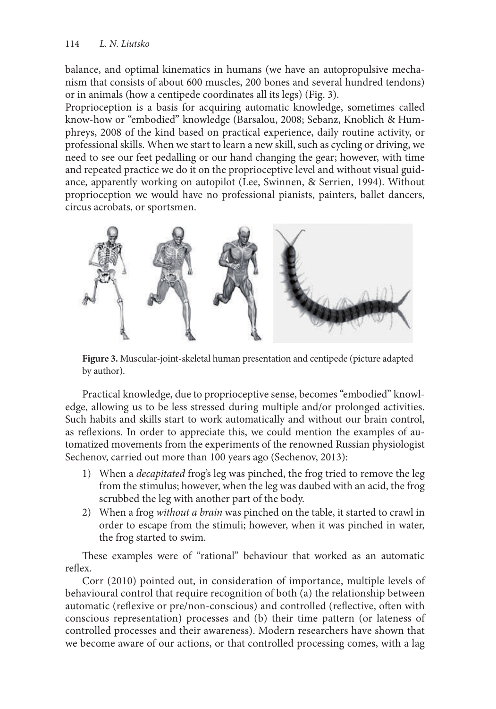balance, and optimal kinematics in humans (we have an autopropulsive mechanism that consists of about 600 muscles, 200 bones and several hundred tendons) or in animals (how a centipede coordinates all its legs) (Fig. 3).

Proprioception is a basis for acquiring automatic knowledge, sometimes called know-how or "embodied" knowledge (Barsalou, 2008; Sebanz, Knoblich & Humphreys, 2008 of the kind based on practical experience, daily routine activity, or professional skills. When we start to learn a new skill, such as cycling or driving, we need to see our feet pedalling or our hand changing the gear; however, with time and repeated practice we do it on the proprioceptive level and without visual guidance, apparently working on autopilot (Lee, Swinnen, & Serrien, 1994). Without proprioception we would have no professional pianists, painters, ballet dancers, circus acrobats, or sportsmen.



**Figure 3.** Muscular-joint-skeletal human presentation and centipede (picture adapted by author).

Practical knowledge, due to proprioceptive sense, becomes "embodied" knowledge, allowing us to be less stressed during multiple and/or prolonged activities. Such habits and skills start to work automatically and without our brain control, as reflexions. In order to appreciate this, we could mention the examples of automatized movements from the experiments of the renowned Russian physiologist Sechenov, carried out more than 100 years ago (Sechenov, 2013):

- 1) When a *decapitated* frog's leg was pinched, the frog tried to remove the leg from the stimulus; however, when the leg was daubed with an acid, the frog scrubbed the leg with another part of the body.
- 2) When a frog *without a brain* was pinched on the table, it started to crawl in order to escape from the stimuli; however, when it was pinched in water, the frog started to swim.

These examples were of "rational" behaviour that worked as an automatic reflex.

Corr (2010) pointed out, in consideration of importance, multiple levels of behavioural control that require recognition of both (a) the relationship between automatic (reflexive or pre/non-conscious) and controlled (reflective, often with conscious representation) processes and (b) their time pattern (or lateness of controlled processes and their awareness). Modern researchers have shown that we become aware of our actions, or that controlled processing comes, with a lag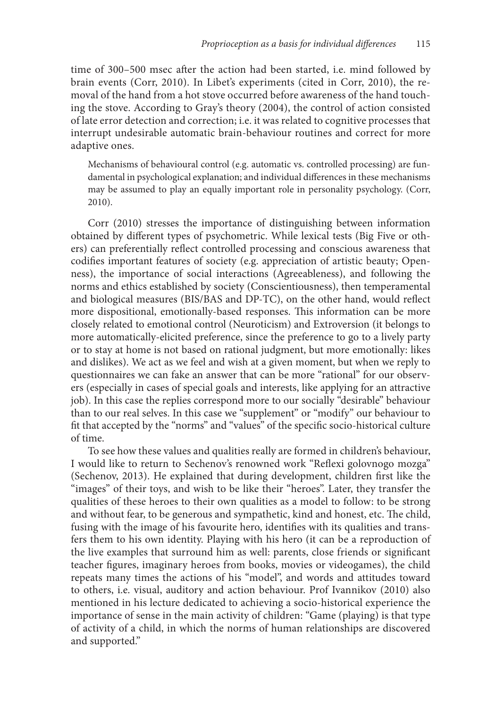time of 300–500 msec after the action had been started, i.e. mind followed by brain events (Corr, 2010). In Libet's experiments (cited in Corr, 2010), the removal of the hand from a hot stove occurred before awareness of the hand touching the stove. According to Gray's theory (2004), the control of action consisted of late error detection and correction; i.e. it was related to cognitive processes that interrupt undesirable automatic brain-behaviour routines and correct for more adaptive ones.

Mechanisms of behavioural control (e.g. automatic vs. controlled processing) are fundamental in psychological explanation; and individual differences in these mechanisms may be assumed to play an equally important role in personality psychology. (Corr, 2010).

Corr (2010) stresses the importance of distinguishing between information obtained by different types of psychometric. While lexical tests (Big Five or others) can preferentially reflect controlled processing and conscious awareness that codifies important features of society (e.g. appreciation of artistic beauty; Openness), the importance of social interactions (Agreeableness), and following the norms and ethics established by society (Conscientiousness), then temperamental and biological measures (BIS/BAS and DP-TC), on the other hand, would reflect more dispositional, emotionally-based responses. This information can be more closely related to emotional control (Neuroticism) and Extroversion (it belongs to more automatically-elicited preference, since the preference to go to a lively party or to stay at home is not based on rational judgment, but more emotionally: likes and dislikes). We act as we feel and wish at a given moment, but when we reply to questionnaires we can fake an answer that can be more "rational" for our observers (especially in cases of special goals and interests, like applying for an attractive job). In this case the replies correspond more to our socially "desirable" behaviour than to our real selves. In this case we "supplement" or "modify" our behaviour to fit that accepted by the "norms" and "values" of the specific socio-historical culture of time.

To see how these values and qualities really are formed in children's behaviour, I would like to return to Sechenov's renowned work "Reflexi golovnogo mozga" (Sechenov, 2013). He explained that during development, children first like the "images" of their toys, and wish to be like their "heroes". Later, they transfer the qualities of these heroes to their own qualities as a model to follow: to be strong and without fear, to be generous and sympathetic, kind and honest, etc. The child, fusing with the image of his favourite hero, identifies with its qualities and transfers them to his own identity. Playing with his hero (it can be a reproduction of the live examples that surround him as well: parents, close friends or significant teacher figures, imaginary heroes from books, movies or videogames), the child repeats many times the actions of his "model", and words and attitudes toward to others, i.e. visual, auditory and action behaviour. Prof Ivannikov (2010) also mentioned in his lecture dedicated to achieving a socio-historical experience the importance of sense in the main activity of children: "Game (playing) is that type of activity of a child, in which the norms of human relationships are discovered and supported."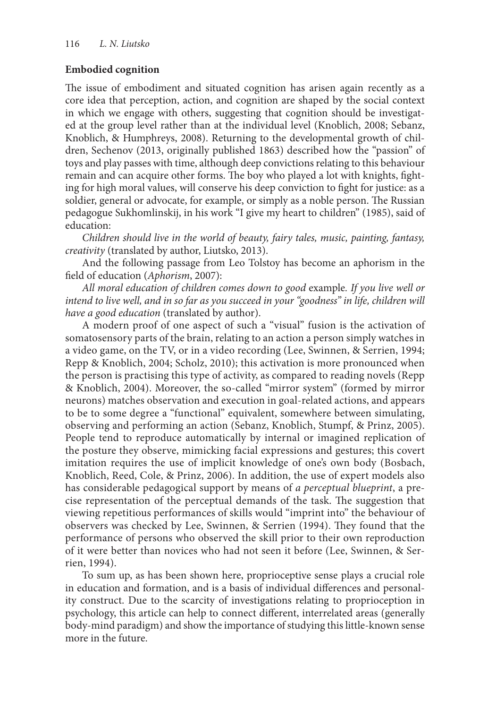### **Embodied cognition**

The issue of embodiment and situated cognition has arisen again recently as a core idea that perception, action, and cognition are shaped by the social context in which we engage with others, suggesting that cognition should be investigated at the group level rather than at the individual level (Knoblich, 2008; Sebanz, Knoblich, & Humphreys, 2008). Returning to the developmental growth of children, Sechenov (2013, originally published 1863) described how the "passion" of toys and play passes with time, although deep convictions relating to this behaviour remain and can acquire other forms. The boy who played a lot with knights, fighting for high moral values, will conserve his deep conviction to fight for justice: as a soldier, general or advocate, for example, or simply as a noble person. The Russian pedagogue Sukhomlinskij, in his work "I give my heart to children" (1985), said of education:

*Children should live in the world of beauty, fairy tales, music, painting, fantasy, creativity* (translated by author, Liutsko, 2013).

And the following passage from Leo Tolstoy has become an aphorism in the field of education (*Aphorism*, 2007):

*All moral education of children comes down to good* example*. If you live well or intend to live well, and in so far as you succeed in your "goodness" in life, children will have a good education* (translated by author).

A modern proof of one aspect of such a "visual" fusion is the activation of somatosensory parts of the brain, relating to an action a person simply watches in a video game, on the TV, or in a video recording (Lee, Swinnen, & Serrien, 1994; Repp & Knoblich, 2004; Scholz, 2010); this activation is more pronounced when the person is practising this type of activity, as compared to reading novels (Repp & Knoblich, 2004). Moreover, the so-called "mirror system" (formed by mirror neurons) matches observation and execution in goal-related actions, and appears to be to some degree a "functional" equivalent, somewhere between simulating, observing and performing an action (Sebanz, Knoblich, Stumpf, & Prinz, 2005). People tend to reproduce automatically by internal or imagined replication of the posture they observe, mimicking facial expressions and gestures; this covert imitation requires the use of implicit knowledge of one's own body (Bosbach, Knoblich, Reed, Cole, & Prinz, 2006). In addition, the use of expert models also has considerable pedagogical support by means of *a perceptual blueprint*, a precise representation of the perceptual demands of the task. The suggestion that viewing repetitious performances of skills would "imprint into" the behaviour of observers was checked by Lee, Swinnen, & Serrien (1994). They found that the performance of persons who observed the skill prior to their own reproduction of it were better than novices who had not seen it before (Lee, Swinnen, & Serrien, 1994).

To sum up, as has been shown here, proprioceptive sense plays a crucial role in education and formation, and is a basis of individual differences and personality construct. Due to the scarcity of investigations relating to proprioception in psychology, this article can help to connect different, interrelated areas (generally body-mind paradigm) and show the importance of studying this little-known sense more in the future.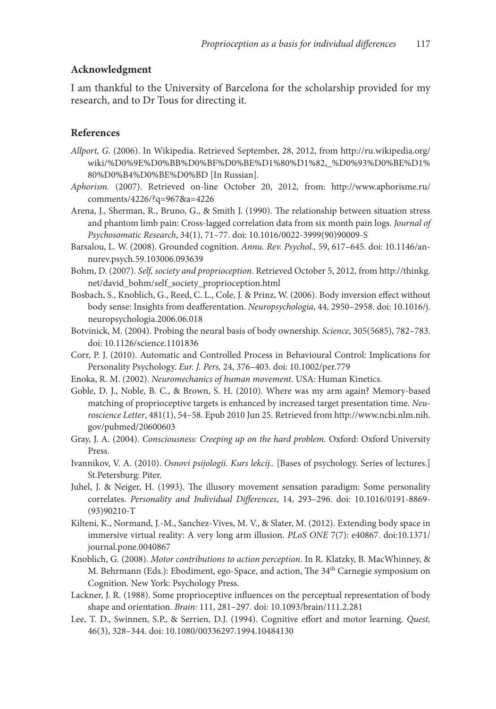#### **Acknowledgment**

I am thankful to the University of Barcelona for the scholarship provided for my research, and to Dr Tous for directing it.

#### **References**

- *Allport, G*. (2006). In Wikipedia. Retrieved September, 28, 2012, from http://ru.wikipedia.org/ wiki/%D0%9E%D0%BB%D0%BF%D0%BE%D1%80%D1%82,\_%D0%93%D0%BE%D1% 80%D0%B4%D0%BE%D0%BD [In Russian].
- *Aphorism.* (2007). Retrieved on-line October 20, 2012, from: http://www.aphorisme.ru/ comments/4226/?q=967&a=4226
- Arena, J., Sherman, R., Bruno, G., & Smith J. (1990). The relationship between situation stress and phantom limb pain: Cross-lagged correlation data from six month pain logs. *Journal of Psychosomatic Research*, 34(1), 71–77. doi: 10.1016/0022-3999(90)90009-S
- Barsalou, L. W. (2008). Grounded cognition. *Annu. Rev. Psychol.,* 59, 617–645. doi: 10.1146/annurev.psych.59.103006.093639
- Bohm, D. (2007). *Self, society and proprioception*. Retrieved October 5, 2012, from http://thinkg. net/david\_bohm/self\_society\_proprioception.html
- Bosbach, S., Knoblich, G., Reed, C. L., Cole, J. & Prinz, W. (2006). Body inversion effect without body sense: Insights from deafferentation. *Neuropsychologia*, 44, 2950–2958. doi: 10.1016/j. neuropsychologia.2006.06.018
- Botvinick, M. (2004). Probing the neural basis of body ownership. *Science*, 305(5685), 782–783. doi: 10.1126/science.1101836
- Corr, P. J. (2010). Automatic and Controlled Process in Behavioural Control: Implications for Personality Psychology. *Eur. J. Pers,* 24, 376–403. doi: 10.1002/per.779
- Enoka, R. M. (2002). *Neuromechanics of human movement*. USA: Human Kinetics.
- Goble, D. J., Noble, B. C., & Brown, S. H. (2010). Where was my arm again? Memory-based matching of proprioceptive targets is enhanced by increased target presentation time. *Neuroscience Letter*, 481(1), 54–58. Epub 2010 Jun 25. Retrieved from http://www.ncbi.nlm.nih. gov/pubmed/20600603
- Gray, J. A. (2004). *Consciousness: Creeping up on the hard problem.* Oxford: Oxford University Press.
- Ivannikov, V. A. (2010). *Osnovi psijologii. Kurs lekcij.*. [Bases of psychology. Series of lectures.] St.Petersburg: Piter.
- Juhel, J. & Neiger, H. (1993). The illusory movement sensation paradigm: Some personality correlates. *Personality and Individual Differences*, 14, 293–296. doi: 10.1016/0191-8869- (93)90210-T
- Kilteni, K., Normand, J.-M., Sanchez-Vives, M. V., & Slater, M. (2012). Extending body space in immersive virtual reality: A very long arm illusion. *PLoS ONE* 7(7): e40867. doi:10.1371/ journal.pone.0040867
- Knoblich, G. (2008). *Motor contributions to action perception*. In R. Klatzky, B. MacWhinney, & M. Behrmann (Eds.): Ebodiment, ego-Space, and action, The 34<sup>th</sup> Carnegie symposium on Cognition. New York: Psychology Press.
- Lackner, J. R. (1988). Some proprioceptive influences on the perceptual representation of body shape and orientation. *Brain:* 111, 281–297. doi: 10.1093/brain/111.2.281
- Lee, T. D., Swinnen, S.P., & Serrien, D.J. (1994). Cognitive effort and motor learning. *Quest,*  46(3), 328–344. doi: 10.1080/00336297.1994.10484130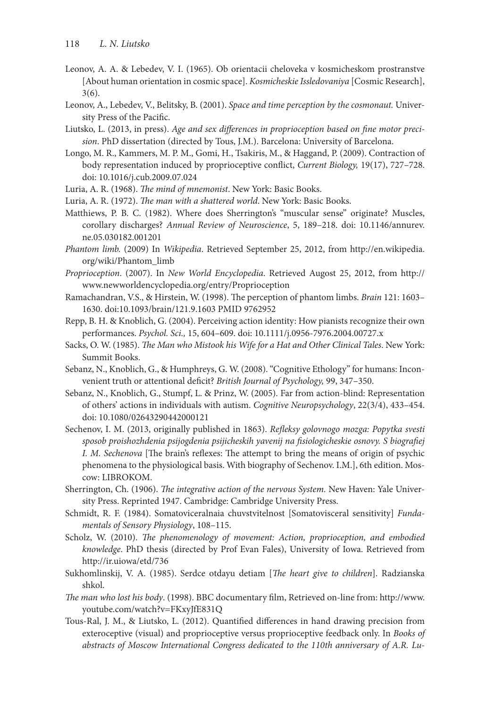- Leonov, A. A. & Lebedev, V. I. (1965). Ob orientacii cheloveka v kosmicheskom prostranstve [About human orientation in cosmic space]. *Kosmicheskie Issledovaniya* [Cosmic Research], 3(6).
- Leonov, A., Lebedev, V., Belitsky, B. (2001). *Space and time perception by the cosmonaut.* University Press of the Pacific.
- Liutsko, L. (2013, in press). *Age and sex differences in proprioception based on fine motor precision*. PhD dissertation (directed by Tous, J.M.). Barcelona: University of Barcelona.
- Longo, M. R., Kammers, M. P. M., Gomi, H., Tsakiris, M., & Haggand, P. (2009). Contraction of body representation induced by proprioceptive conflict, *Current Biology,* 19(17), 727–728. doi: 10.1016/j.cub.2009.07.024
- Luria, A. R. (1968). *The mind of mnemonist*. New York: Basic Books.
- Luria, A. R. (1972). *The man with a shattered world*. New York: Basic Books.
- Matthiews, P. B. C. (1982). Where does Sherrington's "muscular sense" originate? Muscles, corollary discharges? *Annual Review of Neuroscience*, 5, 189–218. doi: 10.1146/annurev. ne.05.030182.001201
- *Phantom limb.* (2009) In *Wikipedia*. Retrieved September 25, 2012, from http://en.wikipedia. org/wiki/Phantom\_limb
- *Proprioception*. (2007). In *New World Encyclopedia*. Retrieved Augost 25, 2012, from http:// www.newworldencyclopedia.org/entry/Proprioception
- Ramachandran, V.S., & Hirstein, W. (1998). The perception of phantom limbs. *Brain* 121: 1603– 1630. doi:10.1093/brain/121.9.1603 PMID 9762952
- Repp, B. H. & Knoblich, G. (2004). Perceiving action identity: How pianists recognize their own performances. *Psychol. Sci.,* 15, 604–609. doi: 10.1111/j.0956-7976.2004.00727.x
- Sacks, O. W. (1985). *The Man who Mistook his Wife for a Hat and Other Clinical Tales*. New York: Summit Books.
- Sebanz, N., Knoblich, G., & Humphreys, G. W. (2008). "Cognitive Ethology" for humans: Inconvenient truth or attentional deficit? *British Journal of Psychology,* 99, 347–350.
- Sebanz, N., Knoblich, G., Stumpf, L. & Prinz, W. (2005). Far from action-blind: Representation of others' actions in individuals with autism. *Cognitive Neuropsychology*, 22(3/4), 433–454. doi: 10.1080/02643290442000121
- Sechenov, I. M. (2013, originally published in 1863). *Refleksy golovnogo mozga: Popytka svesti sposob proishozhdenia psijogdenia psijicheskih yavenij na fisiologicheskie osnovy. S biografiej I. M. Sechenova* [The brain's reflexes: The attempt to bring the means of origin of psychic phenomena to the physiological basis. With biography of Sechenov. I.M.], 6th edition. Moscow: LIBROKOM.
- Sherrington, Ch. (1906). *The integrative action of the nervous System.* New Haven: Yale University Press. Reprinted 1947. Cambridge: Cambridge University Press.
- Schmidt, R. F. (1984). Somatoviceralnaia chuvstvitelnost [Somatovisceral sensitivity] *Fundamentals of Sensory Physiology*, 108–115.
- Scholz, W. (2010). *The phenomenology of movement: Action, proprioception, and embodied knowledge*. PhD thesis (directed by Prof Evan Fales), University of Iowa. Retrieved from http://ir.uiowa/etd/736
- Sukhomlinskij, V. A. (1985). Serdce otdayu detiam [*The heart give to children*]. Radzianska shkol.
- *The man who lost his body*. (1998). BBC documentary film, Retrieved on-line from: http://www. youtube.com/watch?v=FKxyJfE831Q
- Tous-Ral, J. M., & Liutsko, L. (2012). Quantified differences in hand drawing precision from exteroceptive (visual) and proprioceptive versus proprioceptive feedback only. In *Books of abstracts of Moscow International Congress dedicated to the 110th anniversary of A.R. Lu-*